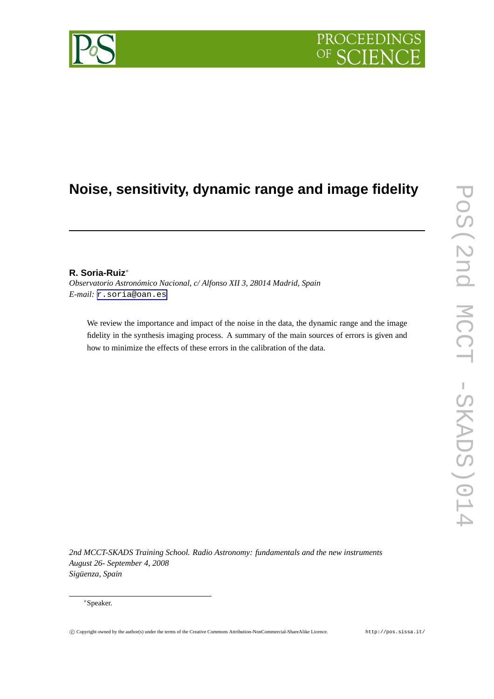# **PROCEEDI**

# **Noise, sensitivity, dynamic range and image fidelity**

## **R. Soria-Ruiz**∗

*Observatorio Astronómico Nacional, c/ Alfonso XII 3, 28014 Madrid, Spain E-mail:* [r.soria@oan.es](mailto:r.soria@oan.es)

We review the importance and impact of the noise in the data, the dynamic range and the image fidelity in the synthesis imaging process. A summary of the main sources of errors is given and how to minimize the effects of these errors in the calibration of the data.

*2nd MCCT-SKADS Training School. Radio Astronomy: fundamentals and the new instruments August 26- September 4, 2008 Siguenza, Spain* ¨

#### ∗Speaker.

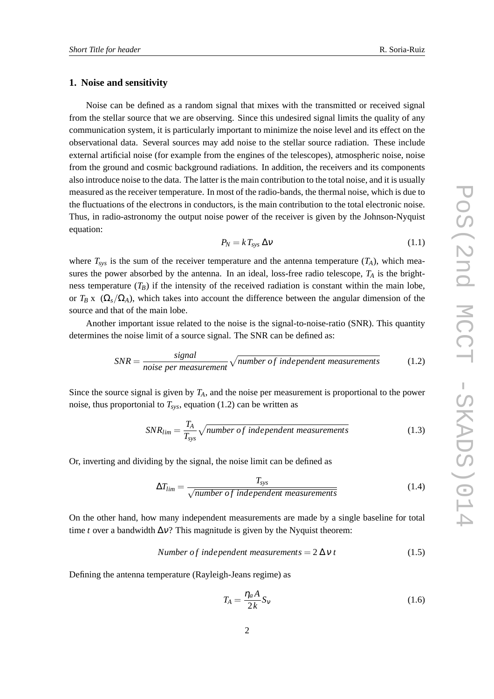#### **1. Noise and sensitivity**

Noise can be defined as a random signal that mixes with the transmitted or received signal from the stellar source that we are observing. Since this undesired signal limits the quality of any communication system, it is particularly important to minimize the noise level and its effect on the observational data. Several sources may add noise to the stellar source radiation. These include external artificial noise (for example from the engines of the telescopes), atmospheric noise, noise from the ground and cosmic background radiations. In addition, the receivers and its components also introduce noise to the data. The latter is the main contribution to the total noise, and it is usually measured as the receiver temperature. In most of the radio-bands, the thermal noise, which is due to the fluctuations of the electrons in conductors, is the main contribution to the total electronic noise. Thus, in radio-astronomy the output noise power of the receiver is given by the Johnson-Nyquist equation:

$$
P_N = k T_{sys} \, \Delta \nu \tag{1.1}
$$

where  $T_{sys}$  is the sum of the receiver temperature and the antenna temperature  $(T_A)$ , which measures the power absorbed by the antenna. In an ideal, loss-free radio telescope,  $T_A$  is the brightness temperature  $(T_B)$  if the intensity of the received radiation is constant within the main lobe, or  $T_B$  x ( $\Omega_s/\Omega_A$ ), which takes into account the difference between the angular dimension of the source and that of the main lobe.

Another important issue related to the noise is the signal-to-noise-ratio (SNR). This quantity determines the noise limit of a source signal. The SNR can be defined as:

$$
SNR = \frac{signal}{noise\ per\ measurement} \sqrt{number\ of\ independent\ measurements} \tag{1.2}
$$

Since the source signal is given by *TA*, and the noise per measurement is proportional to the power noise, thus proportonial to  $T_{sys}$ , equation (1.2) can be written as

$$
SNR_{lim} = \frac{T_A}{T_{sys}} \sqrt{number\ of\ independent\ measurements}
$$
 (1.3)

Or, inverting and dividing by the signal, the noise limit can be defined as

$$
\Delta T_{lim} = \frac{T_{sys}}{\sqrt{number\ of\ independent\ measurements}}\tag{1.4}
$$

On the other hand, how many independent measurements are made by a single baseline for total time *t* over a bandwidth  $\Delta v$ ? This magnitude is given by the Nyquist theorem:

Number of independent measurements = 
$$
2 \Delta v t
$$
 (1.5)

Defining the antenna temperature (Rayleigh-Jeans regime) as

$$
T_A = \frac{\eta_a A}{2k} S_v \tag{1.6}
$$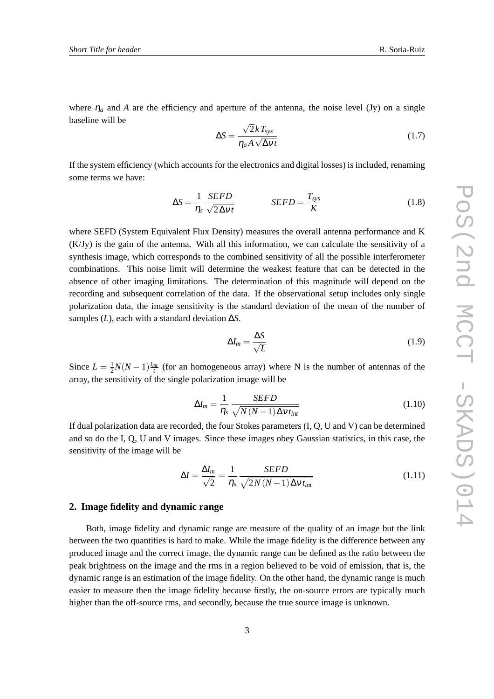where  $\eta_a$  and A are the efficiency and aperture of the antenna, the noise level (Jy) on a single baseline will be

$$
\Delta S = \frac{\sqrt{2}kT_{sys}}{\eta_a A \sqrt{\Delta vt}}\tag{1.7}
$$

If the system efficiency (which accounts for the electronics and digital losses) is included, renaming some terms we have:

$$
\Delta S = \frac{1}{\eta_s} \frac{SEFD}{\sqrt{2\Delta vt}} \qquad SEFD = \frac{T_{sys}}{K}
$$
 (1.8)

where SEFD (System Equivalent Flux Density) measures the overall antenna performance and K (K/Jy) is the gain of the antenna. With all this information, we can calculate the sensitivity of a synthesis image, which corresponds to the combined sensitivity of all the possible interferometer combinations. This noise limit will determine the weakest feature that can be detected in the absence of other imaging limitations. The determination of this magnitude will depend on the recording and subsequent correlation of the data. If the observational setup includes only single polarization data, the image sensitivity is the standard deviation of the mean of the number of samples  $(L)$ , each with a standard deviation  $\Delta S$ .

$$
\Delta I_m = \frac{\Delta S}{\sqrt{L}}\tag{1.9}
$$

Since  $L = \frac{1}{2}$  $\frac{1}{2}N(N-1)\frac{t_{int}}{t}$  (for an homogeneous array) where N is the number of antennas of the array, the sensitivity of the single polarization image will be

$$
\Delta I_m = \frac{1}{\eta_s} \frac{SEFD}{\sqrt{N(N-1)\Delta V t_{int}}} \tag{1.10}
$$

If dual polarization data are recorded, the four Stokes parameters (I, Q, U and V) can be determined and so do the I, Q, U and V images. Since these images obey Gaussian statistics, in this case, the sensitivity of the image will be

$$
\Delta I = \frac{\Delta I_m}{\sqrt{2}} = \frac{1}{\eta_s} \frac{SEFD}{\sqrt{2N(N-1)\Delta V t_{int}}}
$$
(1.11)

#### **2. Image fidelity and dynamic range**

Both, image fidelity and dynamic range are measure of the quality of an image but the link between the two quantities is hard to make. While the image fidelity is the difference between any produced image and the correct image, the dynamic range can be defined as the ratio between the peak brightness on the image and the rms in a region believed to be void of emission, that is, the dynamic range is an estimation of the image fidelity. On the other hand, the dynamic range is much easier to measure then the image fidelity because firstly, the on-source errors are typically much higher than the off-source rms, and secondly, because the true source image is unknown.